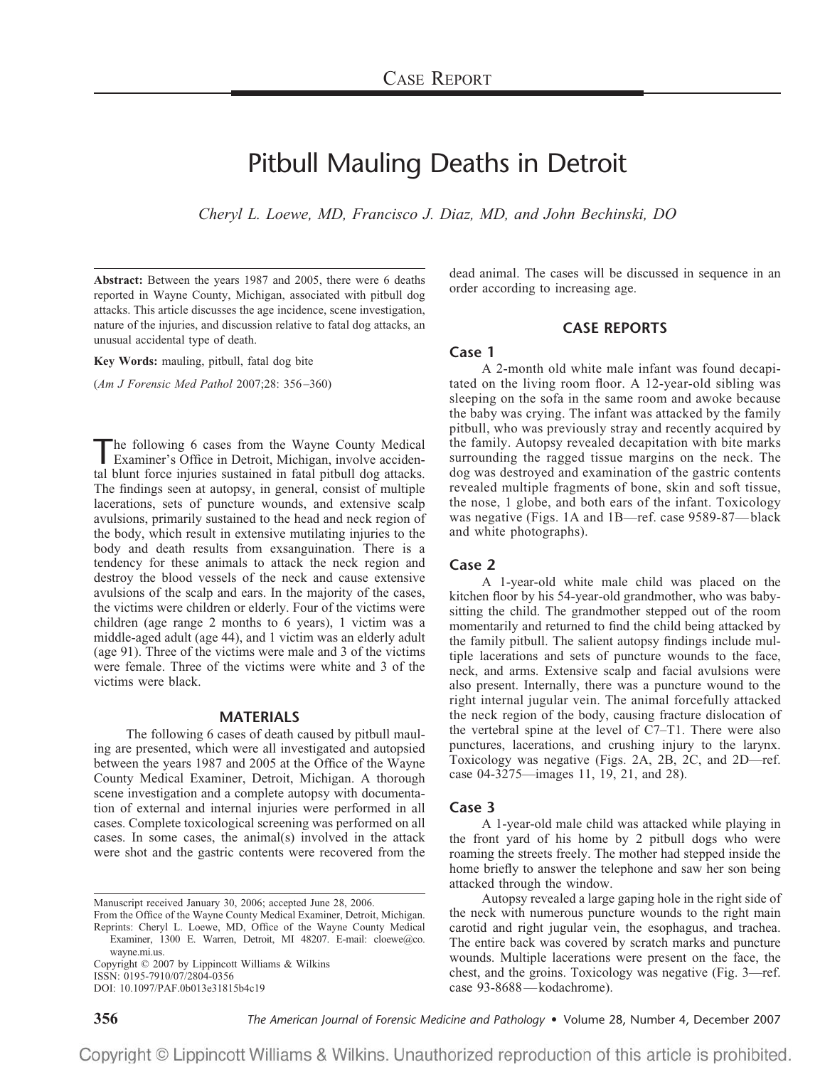# Pitbull Mauling Deaths in Detroit

*Cheryl L. Loewe, MD, Francisco J. Diaz, MD, and John Bechinski, DO*

**Abstract:** Between the years 1987 and 2005, there were 6 deaths reported in Wayne County, Michigan, associated with pitbull dog attacks. This article discusses the age incidence, scene investigation, nature of the injuries, and discussion relative to fatal dog attacks, an unusual accidental type of death.

**Key Words:** mauling, pitbull, fatal dog bite

(*Am J Forensic Med Pathol* 2007;28: 356–360)

The following 6 cases from the Wayne County Medical<br>Examiner's Office in Detroit, Michigan, involve accidental blunt force injuries sustained in fatal pitbull dog attacks. The findings seen at autopsy, in general, consist of multiple lacerations, sets of puncture wounds, and extensive scalp avulsions, primarily sustained to the head and neck region of the body, which result in extensive mutilating injuries to the body and death results from exsanguination. There is a tendency for these animals to attack the neck region and destroy the blood vessels of the neck and cause extensive avulsions of the scalp and ears. In the majority of the cases, the victims were children or elderly. Four of the victims were children (age range 2 months to 6 years), 1 victim was a middle-aged adult (age 44), and 1 victim was an elderly adult (age 91). Three of the victims were male and 3 of the victims were female. Three of the victims were white and 3 of the victims were black.

### **MATERIALS**

The following 6 cases of death caused by pitbull mauling are presented, which were all investigated and autopsied between the years 1987 and 2005 at the Office of the Wayne County Medical Examiner, Detroit, Michigan. A thorough scene investigation and a complete autopsy with documentation of external and internal injuries were performed in all cases. Complete toxicological screening was performed on all cases. In some cases, the animal(s) involved in the attack were shot and the gastric contents were recovered from the

Copyright © 2007 by Lippincott Williams & Wilkins ISSN: 0195-7910/07/2804-0356

DOI: 10.1097/PAF.0b013e31815b4c19

dead animal. The cases will be discussed in sequence in an order according to increasing age.

#### **CASE REPORTS**

## **Case 1**

A 2-month old white male infant was found decapitated on the living room floor. A 12-year-old sibling was sleeping on the sofa in the same room and awoke because the baby was crying. The infant was attacked by the family pitbull, who was previously stray and recently acquired by the family. Autopsy revealed decapitation with bite marks surrounding the ragged tissue margins on the neck. The dog was destroyed and examination of the gastric contents revealed multiple fragments of bone, skin and soft tissue, the nose, 1 globe, and both ears of the infant. Toxicology was negative (Figs. 1A and 1B—ref. case 9589-87—black and white photographs).

#### **Case 2**

A 1-year-old white male child was placed on the kitchen floor by his 54-year-old grandmother, who was babysitting the child. The grandmother stepped out of the room momentarily and returned to find the child being attacked by the family pitbull. The salient autopsy findings include multiple lacerations and sets of puncture wounds to the face, neck, and arms. Extensive scalp and facial avulsions were also present. Internally, there was a puncture wound to the right internal jugular vein. The animal forcefully attacked the neck region of the body, causing fracture dislocation of the vertebral spine at the level of C7–T1. There were also punctures, lacerations, and crushing injury to the larynx. Toxicology was negative (Figs. 2A, 2B, 2C, and 2D—ref. case 04-3275—images 11, 19, 21, and 28).

## **Case 3**

A 1-year-old male child was attacked while playing in the front yard of his home by 2 pitbull dogs who were roaming the streets freely. The mother had stepped inside the home briefly to answer the telephone and saw her son being attacked through the window.

Autopsy revealed a large gaping hole in the right side of the neck with numerous puncture wounds to the right main carotid and right jugular vein, the esophagus, and trachea. The entire back was covered by scratch marks and puncture wounds. Multiple lacerations were present on the face, the chest, and the groins. Toxicology was negative (Fig. 3—ref. case 93-8688—kodachrome).

**356** *The American Journal of Forensic Medicine and Pathology* • Volume 28, Number 4, December 2007

Manuscript received January 30, 2006; accepted June 28, 2006.

From the Office of the Wayne County Medical Examiner, Detroit, Michigan. Reprints: Cheryl L. Loewe, MD, Office of the Wayne County Medical Examiner, 1300 E. Warren, Detroit, MI 48207. E-mail: cloewe@co. wayne.mi.us.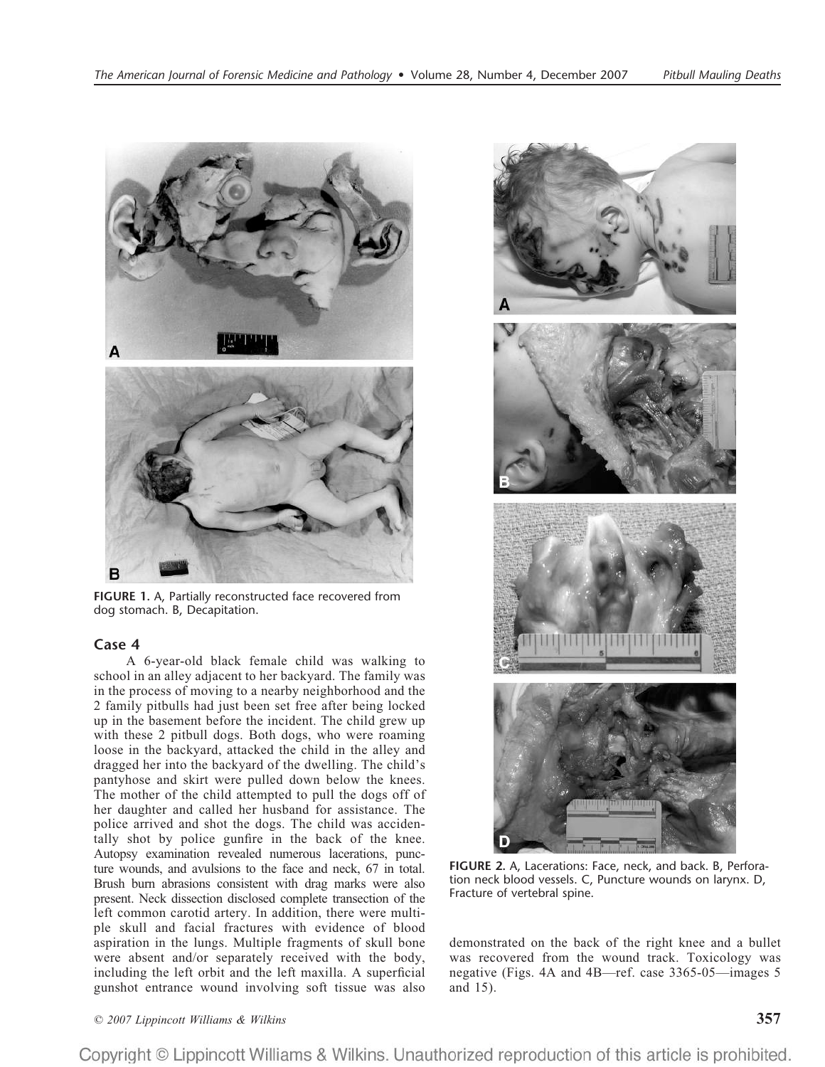

**FIGURE 1.** A, Partially reconstructed face recovered from dog stomach. B, Decapitation.

# **Case 4**

A 6-year-old black female child was walking to school in an alley adjacent to her backyard. The family was in the process of moving to a nearby neighborhood and the 2 family pitbulls had just been set free after being locked up in the basement before the incident. The child grew up with these 2 pitbull dogs. Both dogs, who were roaming loose in the backyard, attacked the child in the alley and dragged her into the backyard of the dwelling. The child's pantyhose and skirt were pulled down below the knees. The mother of the child attempted to pull the dogs off of her daughter and called her husband for assistance. The police arrived and shot the dogs. The child was accidentally shot by police gunfire in the back of the knee. Autopsy examination revealed numerous lacerations, puncture wounds, and avulsions to the face and neck, 67 in total. Brush burn abrasions consistent with drag marks were also present. Neck dissection disclosed complete transection of the left common carotid artery. In addition, there were multiple skull and facial fractures with evidence of blood aspiration in the lungs. Multiple fragments of skull bone were absent and/or separately received with the body, including the left orbit and the left maxilla. A superficial gunshot entrance wound involving soft tissue was also



**FIGURE 2.** A, Lacerations: Face, neck, and back. B, Perforation neck blood vessels. C, Puncture wounds on larynx. D, Fracture of vertebral spine.

demonstrated on the back of the right knee and a bullet was recovered from the wound track. Toxicology was negative (Figs. 4A and 4B—ref. case 3365-05—images 5 and 15).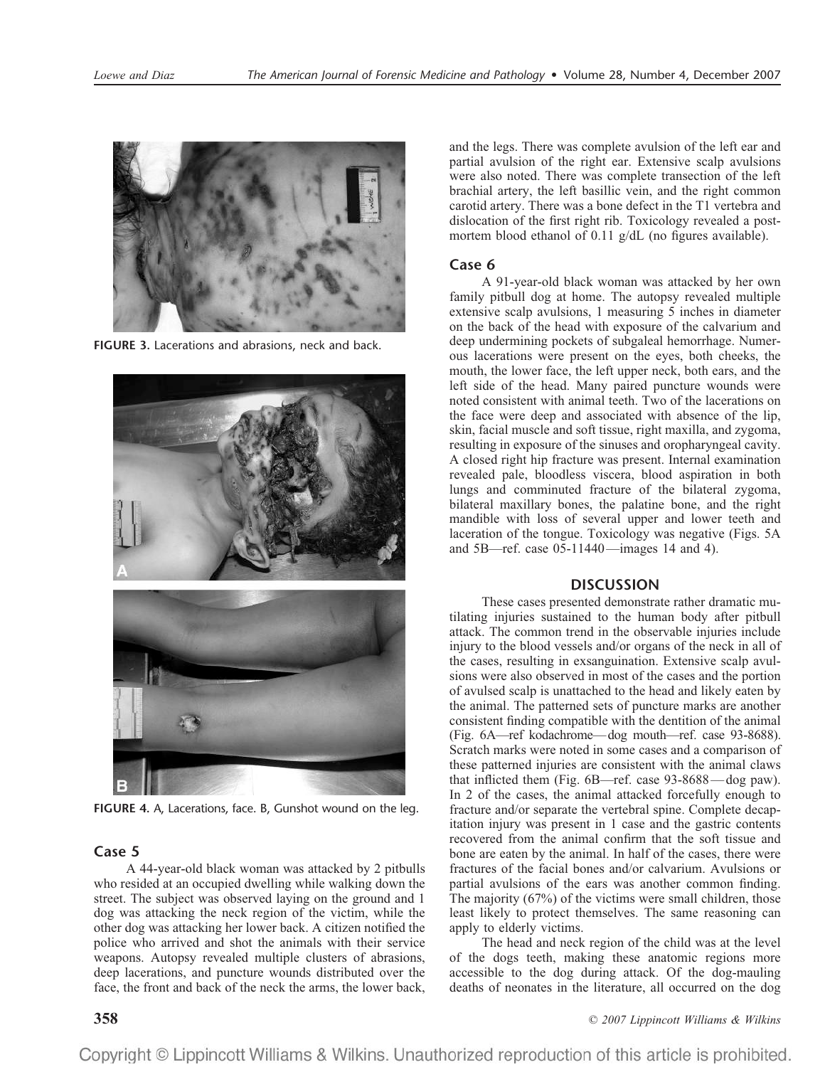

**FIGURE 3.** Lacerations and abrasions, neck and back.



**FIGURE 4.** A, Lacerations, face. B, Gunshot wound on the leg.

# **Case 5**

A 44-year-old black woman was attacked by 2 pitbulls who resided at an occupied dwelling while walking down the street. The subject was observed laying on the ground and 1 dog was attacking the neck region of the victim, while the other dog was attacking her lower back. A citizen notified the police who arrived and shot the animals with their service weapons. Autopsy revealed multiple clusters of abrasions, deep lacerations, and puncture wounds distributed over the face, the front and back of the neck the arms, the lower back,

and the legs. There was complete avulsion of the left ear and partial avulsion of the right ear. Extensive scalp avulsions were also noted. There was complete transection of the left brachial artery, the left basillic vein, and the right common carotid artery. There was a bone defect in the T1 vertebra and dislocation of the first right rib. Toxicology revealed a postmortem blood ethanol of 0.11 g/dL (no figures available).

# **Case 6**

A 91-year-old black woman was attacked by her own family pitbull dog at home. The autopsy revealed multiple extensive scalp avulsions, 1 measuring 5 inches in diameter on the back of the head with exposure of the calvarium and deep undermining pockets of subgaleal hemorrhage. Numerous lacerations were present on the eyes, both cheeks, the mouth, the lower face, the left upper neck, both ears, and the left side of the head. Many paired puncture wounds were noted consistent with animal teeth. Two of the lacerations on the face were deep and associated with absence of the lip, skin, facial muscle and soft tissue, right maxilla, and zygoma, resulting in exposure of the sinuses and oropharyngeal cavity. A closed right hip fracture was present. Internal examination revealed pale, bloodless viscera, blood aspiration in both lungs and comminuted fracture of the bilateral zygoma, bilateral maxillary bones, the palatine bone, and the right mandible with loss of several upper and lower teeth and laceration of the tongue. Toxicology was negative (Figs. 5A and 5B—ref. case 05-11440—images 14 and 4).

# **DISCUSSION**

These cases presented demonstrate rather dramatic mutilating injuries sustained to the human body after pitbull attack. The common trend in the observable injuries include injury to the blood vessels and/or organs of the neck in all of the cases, resulting in exsanguination. Extensive scalp avulsions were also observed in most of the cases and the portion of avulsed scalp is unattached to the head and likely eaten by the animal. The patterned sets of puncture marks are another consistent finding compatible with the dentition of the animal (Fig. 6A—ref kodachrome—dog mouth—ref. case 93-8688). Scratch marks were noted in some cases and a comparison of these patterned injuries are consistent with the animal claws that inflicted them (Fig. 6B—ref. case 93-8688—dog paw). In 2 of the cases, the animal attacked forcefully enough to fracture and/or separate the vertebral spine. Complete decapitation injury was present in 1 case and the gastric contents recovered from the animal confirm that the soft tissue and bone are eaten by the animal. In half of the cases, there were fractures of the facial bones and/or calvarium. Avulsions or partial avulsions of the ears was another common finding. The majority (67%) of the victims were small children, those least likely to protect themselves. The same reasoning can apply to elderly victims.

The head and neck region of the child was at the level of the dogs teeth, making these anatomic regions more accessible to the dog during attack. Of the dog-mauling deaths of neonates in the literature, all occurred on the dog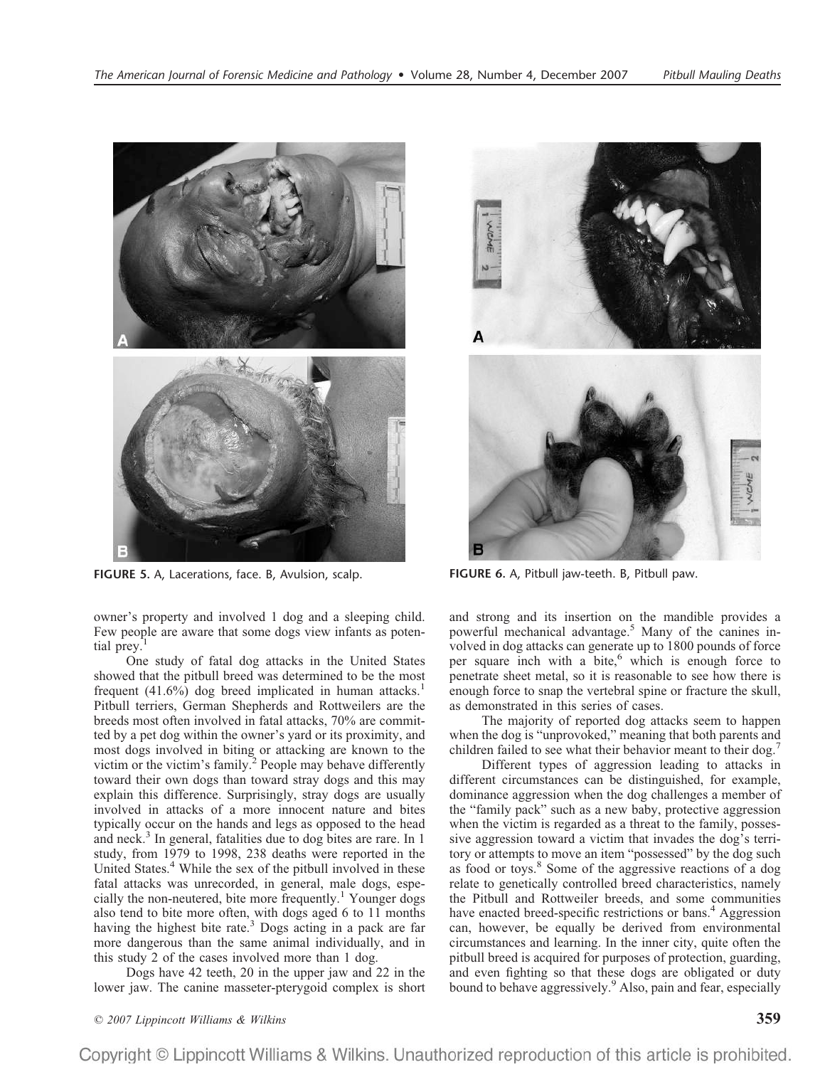

**FIGURE 5.** A, Lacerations, face. B, Avulsion, scalp. **FIGURE 6.** A, Pitbull jaw-teeth. B, Pitbull paw.

owner's property and involved 1 dog and a sleeping child. Few people are aware that some dogs view infants as potential prey.<sup>1</sup>

One study of fatal dog attacks in the United States showed that the pitbull breed was determined to be the most frequent  $(41.6\%)$  dog breed implicated in human attacks.<sup>1</sup> Pitbull terriers, German Shepherds and Rottweilers are the breeds most often involved in fatal attacks, 70% are committed by a pet dog within the owner's yard or its proximity, and most dogs involved in biting or attacking are known to the victim or the victim's family.<sup>2</sup> People may behave differently toward their own dogs than toward stray dogs and this may explain this difference. Surprisingly, stray dogs are usually involved in attacks of a more innocent nature and bites typically occur on the hands and legs as opposed to the head and neck.<sup>3</sup> In general, fatalities due to dog bites are rare. In 1 study, from 1979 to 1998, 238 deaths were reported in the United States.<sup>4</sup> While the sex of the pitbull involved in these fatal attacks was unrecorded, in general, male dogs, especially the non-neutered, bite more frequently.<sup>1</sup> Younger dogs also tend to bite more often, with dogs aged 6 to 11 months having the highest bite rate.<sup>3</sup> Dogs acting in a pack are far more dangerous than the same animal individually, and in this study 2 of the cases involved more than 1 dog.

Dogs have 42 teeth, 20 in the upper jaw and 22 in the lower jaw. The canine masseter-pterygoid complex is short



and strong and its insertion on the mandible provides a powerful mechanical advantage.5 Many of the canines involved in dog attacks can generate up to 1800 pounds of force per square inch with a bite, $<sup>6</sup>$  which is enough force to</sup> penetrate sheet metal, so it is reasonable to see how there is enough force to snap the vertebral spine or fracture the skull, as demonstrated in this series of cases.

The majority of reported dog attacks seem to happen when the dog is "unprovoked," meaning that both parents and children failed to see what their behavior meant to their dog.<sup>7</sup>

Different types of aggression leading to attacks in different circumstances can be distinguished, for example, dominance aggression when the dog challenges a member of the "family pack" such as a new baby, protective aggression when the victim is regarded as a threat to the family, possessive aggression toward a victim that invades the dog's territory or attempts to move an item "possessed" by the dog such as food or toys.8 Some of the aggressive reactions of a dog relate to genetically controlled breed characteristics, namely the Pitbull and Rottweiler breeds, and some communities have enacted breed-specific restrictions or bans.<sup>4</sup> Aggression can, however, be equally be derived from environmental circumstances and learning. In the inner city, quite often the pitbull breed is acquired for purposes of protection, guarding, and even fighting so that these dogs are obligated or duty bound to behave aggressively.<sup>9</sup> Also, pain and fear, especially